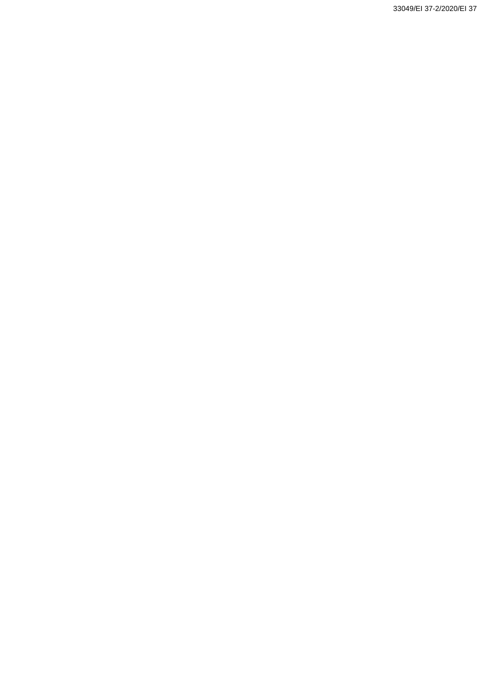33049/EI 37-2/2020/EI 37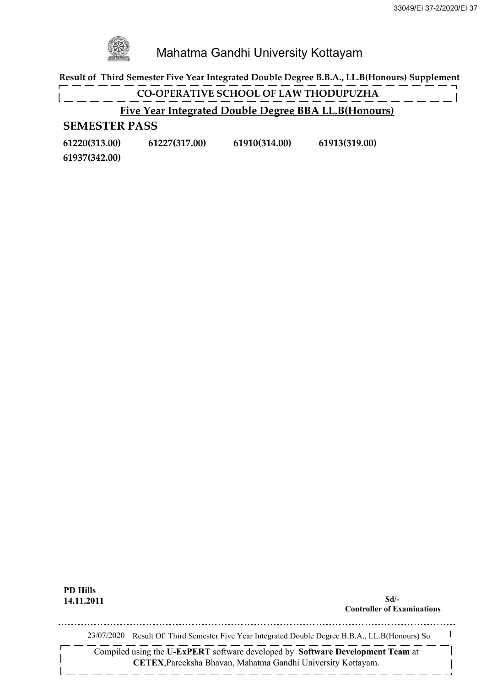

**Result of Third Semester Five Year Integrated Double Degree B.B.A., LL.B(Honours) Supplement CO-OPERATIVE SCHOOL OF LAW THODUPUZHA Five Year Integrated Double Degree BBA LL.B(Honours) SEMESTER PASS 61220(313.00) 61227(317.00) 61910(314.00) 61913(319.00) 61937(342.00)**

**PD Hills**

\_ \_\_ \_\_ \_\_ \_

#### **14.11.2011 Sd/- Controller of Examinations**

 $\mathsf{l}$ 

23/07/2020 Result Of Third Semester Five Year Integrated Double Degree B.B.A., LL.B(Honours) Su <sup>1</sup>

Compiled using the **U-ExPERT** software developed by **Software Development Team** at **CETEX**,Pareeksha Bhavan, Mahatma Gandhi University Kottayam.

 $\overline{a}$ 

- - -

 $-$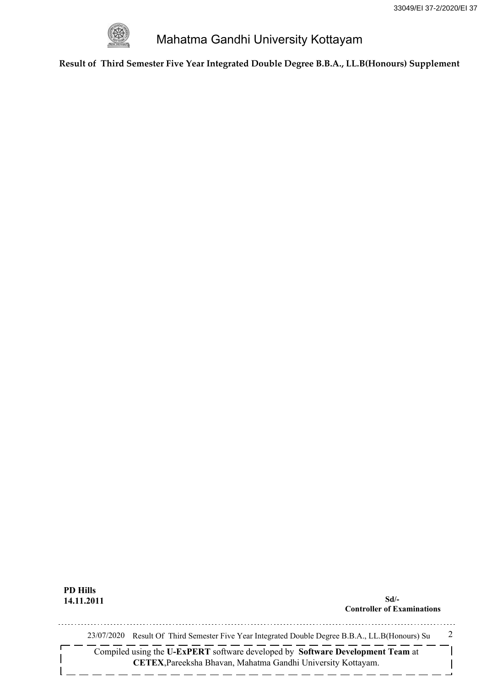

**Result of Third Semester Five Year Integrated Double Degree B.B.A., LL.B(Honours) Supplement**

**PD Hills**

t

#### **14.11.2011 Sd/- Controller of Examinations**

 $\overline{a}$ 

 $\overline{\phantom{a}}$  $\mathsf{l}$ 

- —

23/07/2020 Result Of Third Semester Five Year Integrated Double Degree B.B.A., LL.B(Honours) Su 2

Compiled using the **U-ExPERT** software developed by **Software Development Team** at **CETEX**,Pareeksha Bhavan, Mahatma Gandhi University Kottayam. --------------------------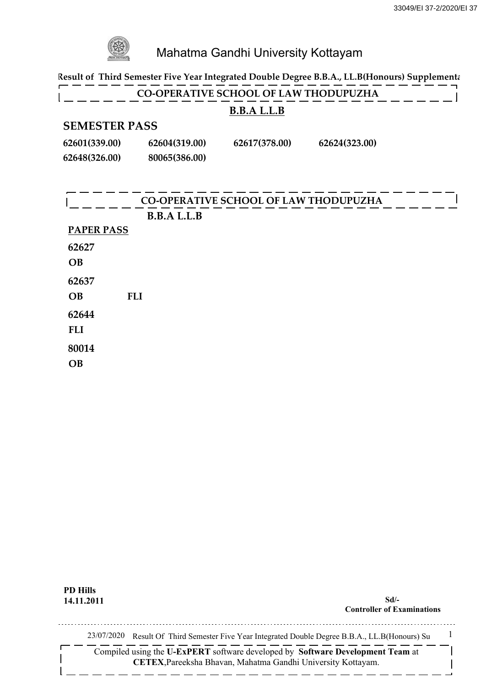

|                      |                    |                                       | Result of Third Semester Five Year Integrated Double Degree B.B.A., LL.B(Honours) Supplementa |  |
|----------------------|--------------------|---------------------------------------|-----------------------------------------------------------------------------------------------|--|
|                      |                    | CO-OPERATIVE SCHOOL OF LAW THODUPUZHA |                                                                                               |  |
|                      |                    | <b>B.B.A L.L.B</b>                    |                                                                                               |  |
| <b>SEMESTER PASS</b> |                    |                                       |                                                                                               |  |
| 62601(339.00)        | 62604(319.00)      | 62617(378.00)                         | 62624(323.00)                                                                                 |  |
| 62648(326.00)        | 80065(386.00)      |                                       |                                                                                               |  |
|                      |                    |                                       |                                                                                               |  |
|                      |                    | CO-OPERATIVE SCHOOL OF LAW THODUPUZHA |                                                                                               |  |
|                      | <b>B.B.A L.L.B</b> |                                       |                                                                                               |  |
| <b>PAPER PASS</b>    |                    |                                       |                                                                                               |  |
| 62627                |                    |                                       |                                                                                               |  |
| <b>OB</b>            |                    |                                       |                                                                                               |  |
| 62637                |                    |                                       |                                                                                               |  |
| OB                   | <b>FLI</b>         |                                       |                                                                                               |  |
| 62644                |                    |                                       |                                                                                               |  |
| <b>FLI</b>           |                    |                                       |                                                                                               |  |
| 80014                |                    |                                       |                                                                                               |  |
| <b>OB</b>            |                    |                                       |                                                                                               |  |
|                      |                    |                                       |                                                                                               |  |

**PD Hills**

t

**14.11.2011 Sd/- Controller of Examinations**

> ٦  $\overline{\phantom{a}}$

\_ \_\_ \_\_

|  |  | 23/07/2020 Result Of Third Semester Five Year Integrated Double Degree B.B.A., LL.B(Honours) Su |  |  |  |  |  |  |  |  |
|--|--|-------------------------------------------------------------------------------------------------|--|--|--|--|--|--|--|--|
|--|--|-------------------------------------------------------------------------------------------------|--|--|--|--|--|--|--|--|

Compiled using the **U-ExPERT** software developed by **Software Development Team** at **CETEX**,Pareeksha Bhavan, Mahatma Gandhi University Kottayam.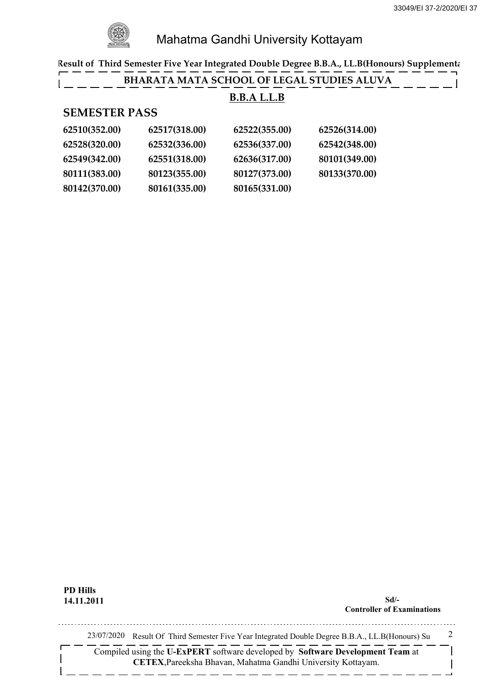

**Result of Third Semester Five Year Integrated Double Degree B.B.A., LL.B(Honours) Supplementa**

| <b>BHARATA MATA SCHOOL OF LEGAL STUDIES ALUVA</b> |               |                    |               |  |  |  |
|---------------------------------------------------|---------------|--------------------|---------------|--|--|--|
|                                                   |               | <b>B.B.A L.L.B</b> |               |  |  |  |
| <b>SEMESTER PASS</b>                              |               |                    |               |  |  |  |
| 62510(352.00)                                     | 62517(318.00) | 62522(355.00)      | 62526(314.00) |  |  |  |
| 62528(320.00)                                     | 62532(336.00) | 62536(337.00)      | 62542(348.00) |  |  |  |
| 62549(342.00)                                     | 62551(318.00) | 62636(317.00)      | 80101(349.00) |  |  |  |
| 80111(383.00)                                     | 80123(355.00) | 80127(373.00)      | 80133(370.00) |  |  |  |
| 80142(370.00)                                     | 80161(335.00) | 80165(331.00)      |               |  |  |  |

**PD Hills**

- - - - - - - -

\_ \_ \_

l

#### **14.11.2011 Sd/- Controller of Examinations**

...

23/07/2020 Result Of Third Semester Five Year Integrated Double Degree B.B.A., LL.B(Honours) Su 2

Compiled using the **U-ExPERT** software developed by **Software Development Team** at **CETEX**,Pareeksha Bhavan, Mahatma Gandhi University Kottayam. - -- -- -- -- -- -

 $\overline{\phantom{a}}$ 

 $\mathsf{l}$ 

ىپ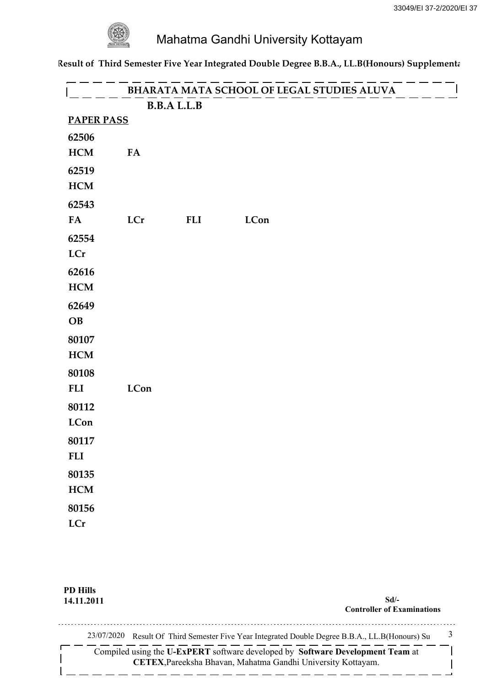

J.

# Mahatma Gandhi University Kottayam

**Result of Third Semester Five Year Integrated Double Degree B.B.A., LL.B(Honours) Supplementa**

|                   |                    |            | BHARATA MATA SCHOOL OF LEGAL STUDIES ALUVA |
|-------------------|--------------------|------------|--------------------------------------------|
|                   | <b>B.B.A L.L.B</b> |            |                                            |
| <b>PAPER PASS</b> |                    |            |                                            |
| 62506             |                    |            |                                            |
| <b>HCM</b>        | FA                 |            |                                            |
| 62519             |                    |            |                                            |
| <b>HCM</b>        |                    |            |                                            |
| 62543             |                    |            |                                            |
| FA                | LCr                | <b>FLI</b> | LCon                                       |
| 62554             |                    |            |                                            |
| LCr               |                    |            |                                            |
| 62616             |                    |            |                                            |
| <b>HCM</b>        |                    |            |                                            |
| 62649             |                    |            |                                            |
| <b>OB</b>         |                    |            |                                            |
| 80107             |                    |            |                                            |
| <b>HCM</b>        |                    |            |                                            |
| 80108             |                    |            |                                            |
| <b>FLI</b>        | LCon               |            |                                            |
| 80112             |                    |            |                                            |
| LCon              |                    |            |                                            |
| 80117             |                    |            |                                            |
| <b>FLI</b>        |                    |            |                                            |
| 80135             |                    |            |                                            |
| $\rm HCM$         |                    |            |                                            |
| 80156             |                    |            |                                            |
| LCr               |                    |            |                                            |

| <b>PD Hills</b><br>14.11.2011 | $Sd$ /-<br><b>Controller of Examinations</b>                                                                                                   |               |
|-------------------------------|------------------------------------------------------------------------------------------------------------------------------------------------|---------------|
|                               | 23/07/2020 Result Of Third Semester Five Year Integrated Double Degree B.B.A., LL.B(Honours) Su                                                | $\mathcal{R}$ |
|                               | Compiled using the U-ExPERT software developed by Software Development Team at<br>CETEX, Pareeksha Bhavan, Mahatma Gandhi University Kottayam. |               |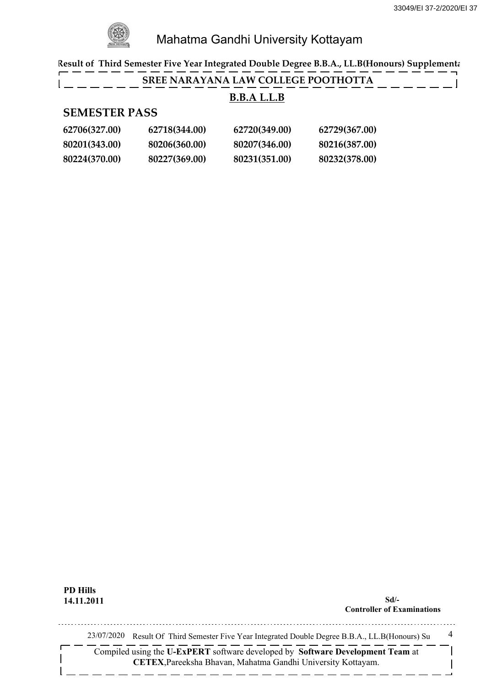

**Result of Third Semester Five Year Integrated Double Degree B.B.A., LL.B(Honours) Supplementa**

| <b>SREE NARAYANA LAW COLLEGE POOTHOTTA</b> |               |                    |               |  |  |  |  |
|--------------------------------------------|---------------|--------------------|---------------|--|--|--|--|
|                                            |               | <b>B.B.A L.L.B</b> |               |  |  |  |  |
| <b>SEMESTER PASS</b>                       |               |                    |               |  |  |  |  |
| 62706(327.00)                              | 62718(344.00) | 62720(349.00)      | 62729(367.00) |  |  |  |  |
| 80201(343.00)                              | 80206(360.00) | 80207(346.00)      | 80216(387.00) |  |  |  |  |
| 80224(370.00)                              | 80227(369.00) | 80231(351.00)      | 80232(378.00) |  |  |  |  |

**PD Hills**

- - - - - - - -

- - -

t

#### **14.11.2011 Sd/- Controller of Examinations**

 $\overline{\phantom{a}}$  $\mathsf{l}$ 

ىپ

 $\overline{\phantom{a}}$ 

23/07/2020 Result Of Third Semester Five Year Integrated Double Degree B.B.A., LL.B(Honours) Su 4

Compiled using the **U-ExPERT** software developed by **Software Development Team** at **CETEX**,Pareeksha Bhavan, Mahatma Gandhi University Kottayam. - -- -- -- -- -- -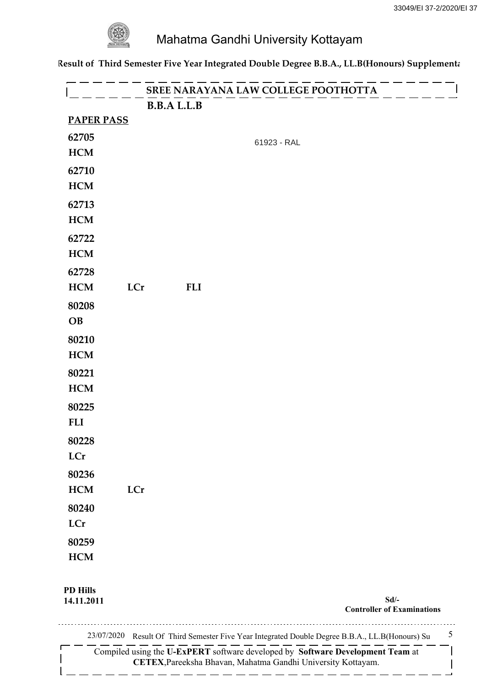

 $\mathsf{I}$ 

# Mahatma Gandhi University Kottayam

**Result of Third Semester Five Year Integrated Double Degree B.B.A., LL.B(Honours) Supplementa**

|                   |            | SREE NARAYANA LAW COLLEGE POOTHOTTA |                                                                                                                                                                                   |
|-------------------|------------|-------------------------------------|-----------------------------------------------------------------------------------------------------------------------------------------------------------------------------------|
| <b>PAPER PASS</b> |            | <b>B.B.A L.L.B</b>                  |                                                                                                                                                                                   |
| 62705             |            |                                     |                                                                                                                                                                                   |
| <b>HCM</b>        |            |                                     | 61923 - RAL                                                                                                                                                                       |
| 62710             |            |                                     |                                                                                                                                                                                   |
| <b>HCM</b>        |            |                                     |                                                                                                                                                                                   |
| 62713             |            |                                     |                                                                                                                                                                                   |
| <b>HCM</b>        |            |                                     |                                                                                                                                                                                   |
| 62722             |            |                                     |                                                                                                                                                                                   |
| <b>HCM</b>        |            |                                     |                                                                                                                                                                                   |
| 62728             |            |                                     |                                                                                                                                                                                   |
| <b>HCM</b>        | <b>LCr</b> | <b>FLI</b>                          |                                                                                                                                                                                   |
| 80208             |            |                                     |                                                                                                                                                                                   |
| <b>OB</b>         |            |                                     |                                                                                                                                                                                   |
| 80210             |            |                                     |                                                                                                                                                                                   |
| <b>HCM</b>        |            |                                     |                                                                                                                                                                                   |
| 80221             |            |                                     |                                                                                                                                                                                   |
| <b>HCM</b>        |            |                                     |                                                                                                                                                                                   |
| 80225             |            |                                     |                                                                                                                                                                                   |
| <b>FLI</b>        |            |                                     |                                                                                                                                                                                   |
| 80228             |            |                                     |                                                                                                                                                                                   |
| <b>LCr</b>        |            |                                     |                                                                                                                                                                                   |
| 80236             |            |                                     |                                                                                                                                                                                   |
| <b>HCM</b>        | LCr        |                                     |                                                                                                                                                                                   |
| 80240             |            |                                     |                                                                                                                                                                                   |
| <b>LCr</b>        |            |                                     |                                                                                                                                                                                   |
| 80259             |            |                                     |                                                                                                                                                                                   |
| <b>HCM</b>        |            |                                     |                                                                                                                                                                                   |
| <b>PD Hills</b>   |            |                                     |                                                                                                                                                                                   |
| 14.11.2011        |            |                                     | $Sd$ /-<br><b>Controller of Examinations</b>                                                                                                                                      |
|                   |            |                                     |                                                                                                                                                                                   |
|                   |            |                                     | 23/07/2020 Result Of Third Semester Five Year Integrated Double Degree B.B.A., LL.B(Honours) Su<br>Compiled using the U-ExPERT software developed by Software Development Team at |

-----------------

 $-$ 

- -

 $-$ — —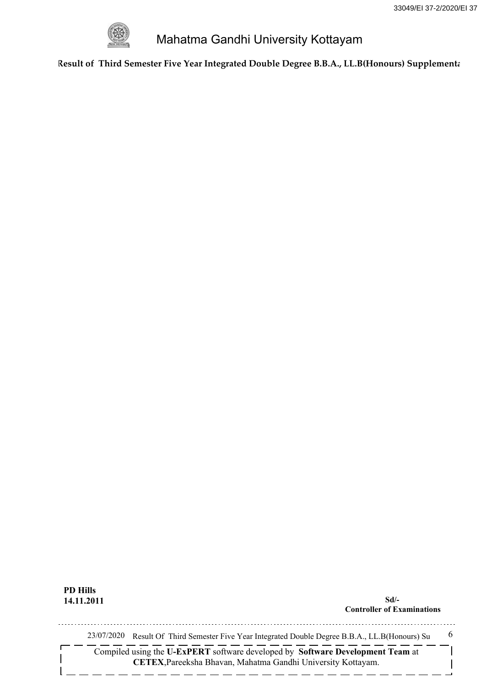

**Result of Third Semester Five Year Integrated Double Degree B.B.A., LL.B(Honours) Supplementa**

**PD Hills**

l

#### **14.11.2011 Sd/- Controller of Examinations**

 $\overline{\phantom{a}}$  $\mathsf{l}$ 

 $\overline{\phantom{0}}$ 

. . .

23/07/2020 Result Of Third Semester Five Year Integrated Double Degree B.B.A., LL.B(Honours) Su 6

Compiled using the **U-ExPERT** software developed by **Software Development Team** at **CETEX**,Pareeksha Bhavan, Mahatma Gandhi University Kottayam.

- - - - - - - - -

- -- -- -- -- -- -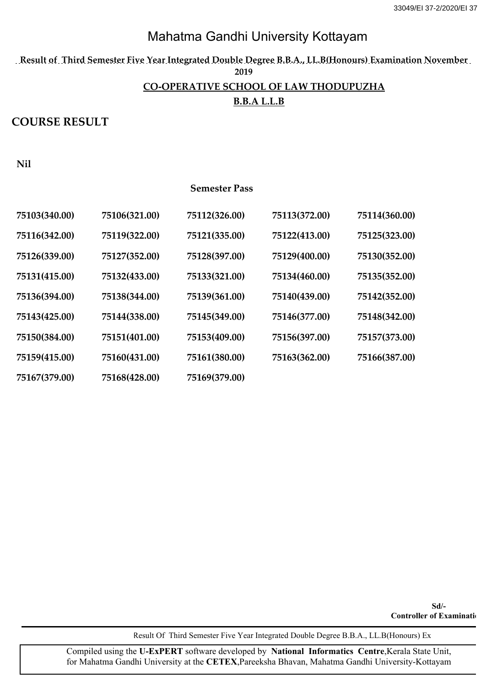**Result of Third Semester Five Year Integrated Double Degree B.B.A., LL.B(Honours) Examination November** 

```
2019
```
### **CO-OPERATIVE SCHOOL OF LAW THODUPUZHA**

**B.B.A L.L.B**

### **COURSE RESULT**

**Nil**

| 75103(340.00) | 75106(321.00) | 75112(326.00) | 75113(372.00) | 75114(360.00) |
|---------------|---------------|---------------|---------------|---------------|
| 75116(342.00) | 75119(322.00) | 75121(335.00) | 75122(413.00) | 75125(323.00) |
| 75126(339.00) | 75127(352.00) | 75128(397.00) | 75129(400.00) | 75130(352.00) |
| 75131(415.00) | 75132(433.00) | 75133(321.00) | 75134(460.00) | 75135(352.00) |
| 75136(394.00) | 75138(344.00) | 75139(361.00) | 75140(439.00) | 75142(352.00) |
| 75143(425.00) | 75144(338.00) | 75145(349.00) | 75146(377.00) | 75148(342.00) |
| 75150(384.00) | 75151(401.00) | 75153(409.00) | 75156(397.00) | 75157(373.00) |
| 75159(415.00) | 75160(431.00) | 75161(380.00) | 75163(362.00) | 75166(387.00) |
| 75167(379.00) | 75168(428.00) | 75169(379.00) |               |               |

 **Semester Pass**

**Sd/- Controller of Examinations** 

Result Of Third Semester Five Year Integrated Double Degree B.B.A., LL.B(Honours) Ex 1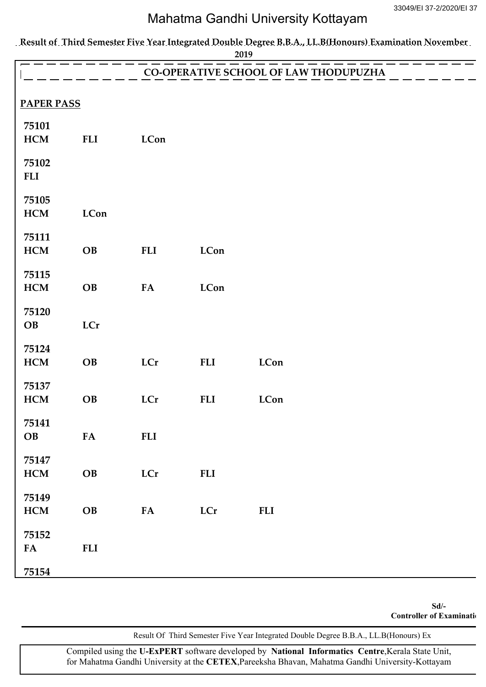|                     |            |             |             | 2019                                  |  |
|---------------------|------------|-------------|-------------|---------------------------------------|--|
|                     |            |             |             | CO-OPERATIVE SCHOOL OF LAW THODUPUZHA |  |
| <b>PAPER PASS</b>   |            |             |             |                                       |  |
| 75101<br><b>HCM</b> | <b>FLI</b> | <b>LCon</b> |             |                                       |  |
| 75102<br><b>FLI</b> |            |             |             |                                       |  |
| 75105<br><b>HCM</b> | LCon       |             |             |                                       |  |
| 75111<br><b>HCM</b> | <b>OB</b>  | <b>FLI</b>  | LCon        |                                       |  |
| 75115<br><b>HCM</b> | <b>OB</b>  | FA          | <b>LCon</b> |                                       |  |
| 75120<br>OB         | LCr        |             |             |                                       |  |
| 75124<br><b>HCM</b> | OB         | LCr         | <b>FLI</b>  | <b>LCon</b>                           |  |
| 75137<br>HCM        | <b>OB</b>  | LCr         | <b>FLI</b>  | <b>LCon</b>                           |  |
| 75141<br>OB         | FA         | <b>FLI</b>  |             |                                       |  |
| 75147<br>$\rm HCM$  | OB         | LCr         | <b>FLI</b>  |                                       |  |
| 75149<br>$\rm HCM$  | OB         | ${\bf FA}$  | LCr         | <b>FLI</b>                            |  |
| 75152<br>FA         | <b>FLI</b> |             |             |                                       |  |
| 75154               |            |             |             |                                       |  |

**Sd/- Controller of Examinations** 

Result Of Third Semester Five Year Integrated Double Degree B.B.A., LL.B(Honours) Ex 2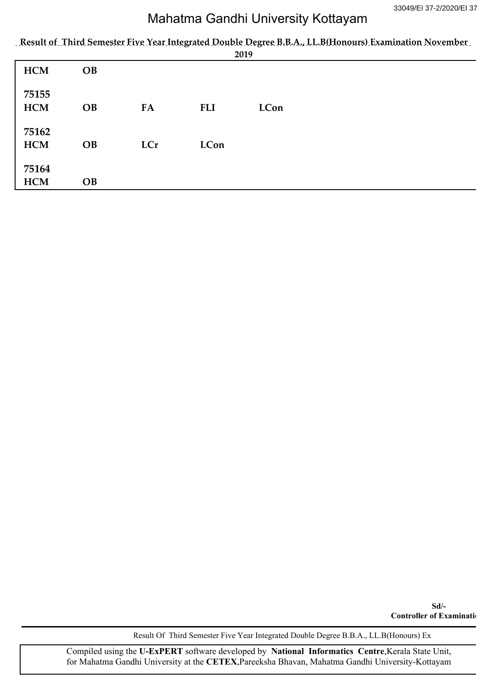**Result of Third Semester Five Year Integrated Double Degree B.B.A., LL.B(Honours) Examination November** 

|                     | 2019      |     |            |             |  |  |  |
|---------------------|-----------|-----|------------|-------------|--|--|--|
| <b>HCM</b>          | <b>OB</b> |     |            |             |  |  |  |
| 75155<br><b>HCM</b> | <b>OB</b> | FA  | <b>FLI</b> | <b>LCon</b> |  |  |  |
| 75162<br><b>HCM</b> | <b>OB</b> | LCr | LCon       |             |  |  |  |
| 75164<br><b>HCM</b> | <b>OB</b> |     |            |             |  |  |  |

**Sd/- Controller of Examinations** 

Result Of Third Semester Five Year Integrated Double Degree B.B.A., LL.B(Honours) Ex 3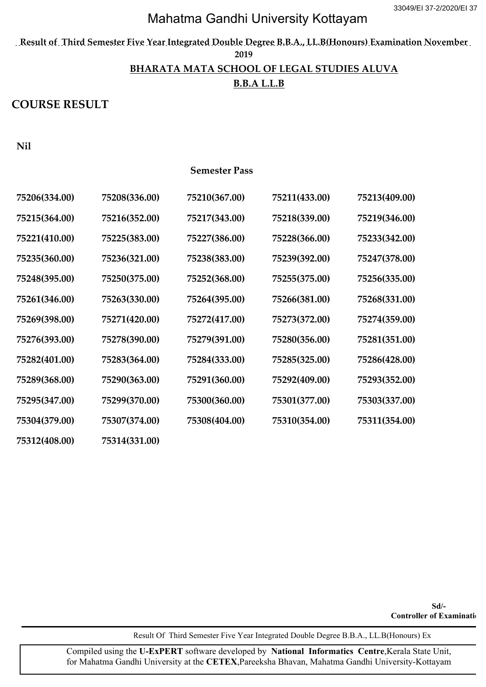**Result of Third Semester Five Year Integrated Double Degree B.B.A., LL.B(Honours) Examination November** 

### **BHARATA MATA SCHOOL OF LEGAL STUDIES ALUVA B.B.A L.L.B**

### **COURSE RESULT**

**Nil**

| 75206(334.00) | 75208(336.00) | 75210(367.00) | 75211(433.00) | 75213(409.00) |
|---------------|---------------|---------------|---------------|---------------|
| 75215(364.00) | 75216(352.00) | 75217(343.00) | 75218(339.00) | 75219(346.00) |
| 75221(410.00) | 75225(383.00) | 75227(386.00) | 75228(366.00) | 75233(342.00) |
| 75235(360.00) | 75236(321.00) | 75238(383.00) | 75239(392.00) | 75247(378.00) |
| 75248(395.00) | 75250(375.00) | 75252(368.00) | 75255(375.00) | 75256(335.00) |
| 75261(346.00) | 75263(330.00) | 75264(395.00) | 75266(381.00) | 75268(331.00) |
| 75269(398.00) | 75271(420.00) | 75272(417.00) | 75273(372.00) | 75274(359.00) |
| 75276(393.00) | 75278(390.00) | 75279(391.00) | 75280(356.00) | 75281(351.00) |
| 75282(401.00) | 75283(364.00) | 75284(333.00) | 75285(325.00) | 75286(428.00) |
| 75289(368.00) | 75290(363.00) | 75291(360.00) | 75292(409.00) | 75293(352.00) |
| 75295(347.00) | 75299(370.00) | 75300(360.00) | 75301(377.00) | 75303(337.00) |
| 75304(379.00) | 75307(374.00) | 75308(404.00) | 75310(354.00) | 75311(354.00) |
| 75312(408.00) | 75314(331.00) |               |               |               |

 **Semester Pass**

**Sd/- Controller of Examinations** 

Result Of Third Semester Five Year Integrated Double Degree B.B.A., LL.B(Honours) Ex 4

**<sup>2019</sup>**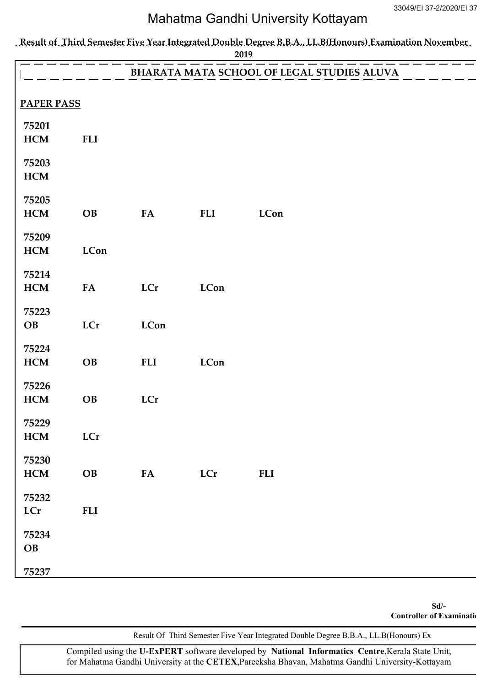|                     |             |            |            | 2019                                       |
|---------------------|-------------|------------|------------|--------------------------------------------|
|                     |             |            |            | BHARATA MATA SCHOOL OF LEGAL STUDIES ALUVA |
| <b>PAPER PASS</b>   |             |            |            |                                            |
| 75201<br><b>HCM</b> | <b>FLI</b>  |            |            |                                            |
| 75203<br>HCM        |             |            |            |                                            |
| 75205<br>HCM        | <b>OB</b>   | FA         | <b>FLI</b> | LCon                                       |
| 75209<br>HCM        | LCon        |            |            |                                            |
| 75214<br>HCM        | ${\bf FA}$  | LCr        | LCon       |                                            |
| 75223<br><b>OB</b>  | LCr         | LCon       |            |                                            |
| 75224<br>HCM        | OB          | <b>FLI</b> | LCon       |                                            |
| 75226<br>HCM        | <b>OB</b>   | LCr        |            |                                            |
| 75229<br>$\rm HCM$  | LCr         |            |            |                                            |
| 75230<br>$\rm HCM$  | OB          | ${\bf FA}$ | LCr        | <b>FLI</b>                                 |
| 75232<br>LCr        | ${\bf FLI}$ |            |            |                                            |
| 75234<br>OB         |             |            |            |                                            |
| 75237               |             |            |            |                                            |

**Result of Third Semester Five Year Integrated Double Degree B.B.A., LL.B(Honours) Examination November** 

**Sd/- Controller of Examinations** 

Result Of Third Semester Five Year Integrated Double Degree B.B.A., LL.B(Honours) Ex 5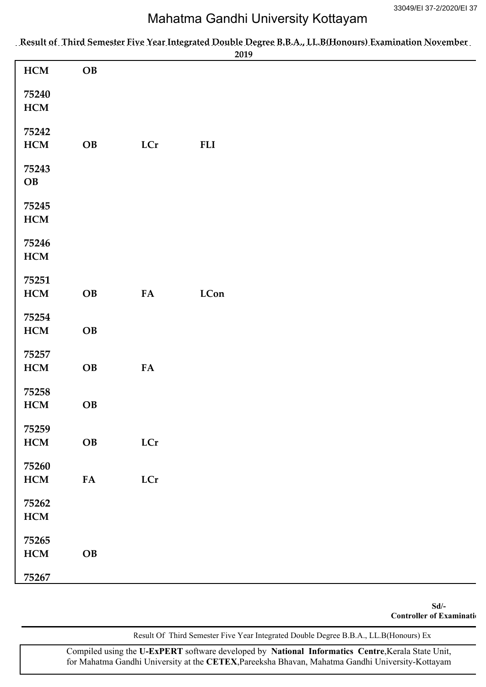|                    |                        |            | 2019       |
|--------------------|------------------------|------------|------------|
| <b>HCM</b>         | $\overline{\text{OB}}$ |            |            |
| 75240<br>$\rm HCM$ |                        |            |            |
| 75242<br>$\rm HCM$ | OB                     | LCr        | <b>FLI</b> |
| 75243<br>OB        |                        |            |            |
| 75245<br>$\rm HCM$ |                        |            |            |
| 75246<br>$\rm HCM$ |                        |            |            |
| 75251<br>$\rm HCM$ | OB                     | FA         | LCon       |
| 75254<br>$\rm HCM$ | OB                     |            |            |
| 75257<br>$\rm HCM$ | $\overline{\text{OB}}$ | ${\bf FA}$ |            |
| 75258<br>$\rm HCM$ | OB                     |            |            |
| 75259<br>$\rm HCM$ | $\overline{\text{OB}}$ | LCr        |            |
| 75260<br>$\rm HCM$ | $FA$                   | LCr        |            |
| 75262<br>$\rm HCM$ |                        |            |            |
| 75265<br>$\rm HCM$ | $\mathbf{OB}$          |            |            |
| 75267              |                        |            |            |
|                    |                        |            |            |

**Result of Third Semester Five Year Integrated Double Degree B.B.A., LL.B(Honours) Examination November** 

**Sd/- Controller of Examinations** 

Result Of Third Semester Five Year Integrated Double Degree B.B.A., LL.B(Honours) Ex 6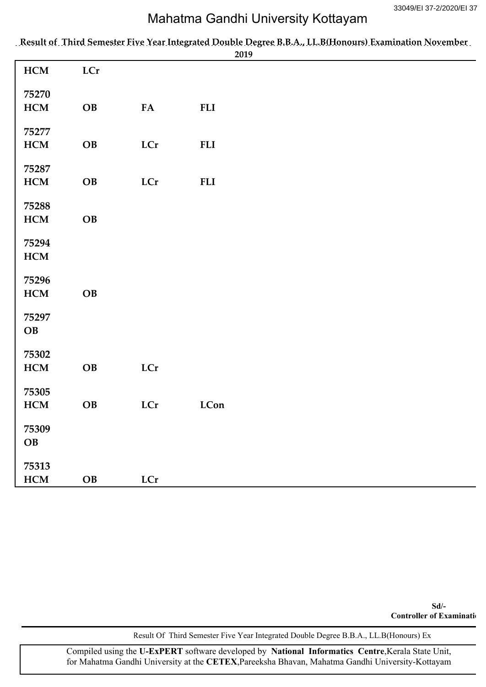|                         |           |     | 2019       |
|-------------------------|-----------|-----|------------|
| $\rm HCM$               | LCr       |     |            |
| 75270<br>$\rm HCM$      | <b>OB</b> | FA  | <b>FLI</b> |
| 75277<br>$\rm HCM$      | OB        | LCr | <b>FLI</b> |
| 75287<br>$\rm HCM$      | OB        | LCr | <b>FLI</b> |
| 75288<br>HCM            | OB        |     |            |
| 75294<br>$\rm HCM$      |           |     |            |
| 75296<br>$\rm HCM$      | OB        |     |            |
| 75297<br>OB             |           |     |            |
| 75302<br>$\rm HCM$      | OB        | LCr |            |
| 75305<br>HCM            | OB        | LCr | LCon       |
| 75309<br>OB             |           |     |            |
| 75313<br>$\mathbf{HCM}$ | OB        | LCr |            |

**Result of Third Semester Five Year Integrated Double Degree B.B.A., LL.B(Honours) Examination November** 

**Sd/- Controller of Examinations** 

Result Of Third Semester Five Year Integrated Double Degree B.B.A., LL.B(Honours) Ex 7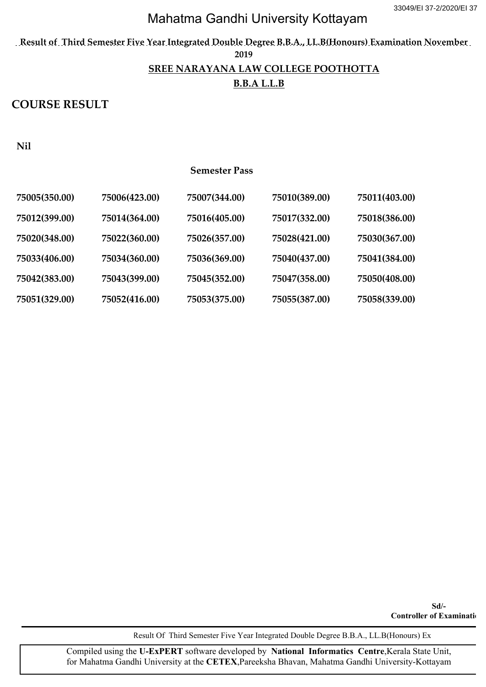**Result of Third Semester Five Year Integrated Double Degree B.B.A., LL.B(Honours) Examination November** 

```
2019
```
### **SREE NARAYANA LAW COLLEGE POOTHOTTA**

#### **B.B.A L.L.B**

### **COURSE RESULT**

**Nil**

|               |               | <b>Semester Pass</b> |               |               |
|---------------|---------------|----------------------|---------------|---------------|
| 75005(350.00) | 75006(423.00) | 75007(344.00)        | 75010(389.00) | 75011(403.00) |
| 75012(399.00) | 75014(364.00) | 75016(405.00)        | 75017(332.00) | 75018(386.00) |
| 75020(348.00) | 75022(360.00) | 75026(357.00)        | 75028(421.00) | 75030(367.00) |
| 75033(406.00) | 75034(360.00) | 75036(369.00)        | 75040(437.00) | 75041(384.00) |
| 75042(383.00) | 75043(399.00) | 75045(352.00)        | 75047(358.00) | 75050(408.00) |
| 75051(329.00) | 75052(416.00) | 75053(375.00)        | 75055(387.00) | 75058(339.00) |

**Sd/- Controller of Examinations** 

Result Of Third Semester Five Year Integrated Double Degree B.B.A., LL.B(Honours) Ex 8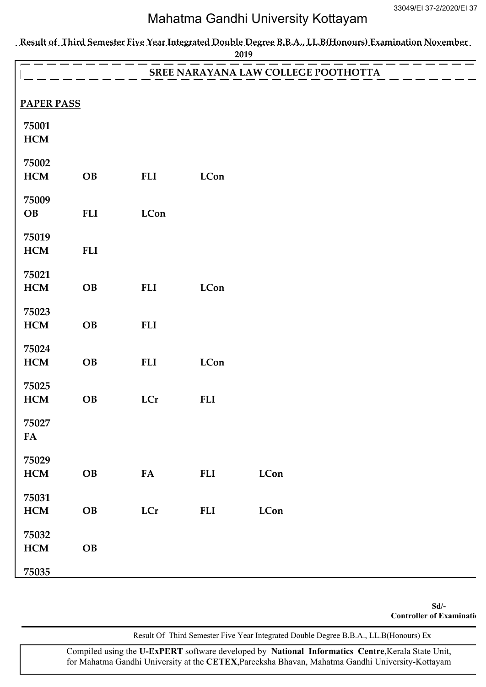| <b>PAPER PASS</b><br>75001<br>$HCM$<br>75002<br>$HCM$<br>OB<br><b>FLI</b><br>LCon<br>75009<br>OB<br>LCon<br><b>FLI</b><br>75019<br><b>HCM</b><br><b>FLI</b><br>75021<br><b>HCM</b><br>OB<br>LCon<br><b>FLI</b><br>75023<br><b>HCM</b><br><b>OB</b><br><b>FLI</b><br>75024<br><b>OB</b><br><b>HCM</b><br><b>FLI</b><br>LCon<br>75025<br><b>HCM</b><br>LCr<br>OB<br><b>FLI</b><br>75027<br>FA<br>75029<br>$\rm HCM$<br>$\mathbf{OB}$<br>LCon<br>FA<br><b>FLI</b><br>75031<br>$\rm HCM$<br>LCon<br>OB<br>LCr<br><b>FLI</b> |  |  | SREE NARAYANA LAW COLLEGE POOTHOTTA |  |
|-------------------------------------------------------------------------------------------------------------------------------------------------------------------------------------------------------------------------------------------------------------------------------------------------------------------------------------------------------------------------------------------------------------------------------------------------------------------------------------------------------------------------|--|--|-------------------------------------|--|
|                                                                                                                                                                                                                                                                                                                                                                                                                                                                                                                         |  |  |                                     |  |
|                                                                                                                                                                                                                                                                                                                                                                                                                                                                                                                         |  |  |                                     |  |
|                                                                                                                                                                                                                                                                                                                                                                                                                                                                                                                         |  |  |                                     |  |
|                                                                                                                                                                                                                                                                                                                                                                                                                                                                                                                         |  |  |                                     |  |
|                                                                                                                                                                                                                                                                                                                                                                                                                                                                                                                         |  |  |                                     |  |
|                                                                                                                                                                                                                                                                                                                                                                                                                                                                                                                         |  |  |                                     |  |
|                                                                                                                                                                                                                                                                                                                                                                                                                                                                                                                         |  |  |                                     |  |
|                                                                                                                                                                                                                                                                                                                                                                                                                                                                                                                         |  |  |                                     |  |
|                                                                                                                                                                                                                                                                                                                                                                                                                                                                                                                         |  |  |                                     |  |
|                                                                                                                                                                                                                                                                                                                                                                                                                                                                                                                         |  |  |                                     |  |
|                                                                                                                                                                                                                                                                                                                                                                                                                                                                                                                         |  |  |                                     |  |
|                                                                                                                                                                                                                                                                                                                                                                                                                                                                                                                         |  |  |                                     |  |
| 75032<br>HCM<br>OB                                                                                                                                                                                                                                                                                                                                                                                                                                                                                                      |  |  |                                     |  |
| 75035                                                                                                                                                                                                                                                                                                                                                                                                                                                                                                                   |  |  |                                     |  |

**Result of Third Semester Five Year Integrated Double Degree B.B.A., LL.B(Honours) Examination November 2019**

> **Sd/- Controller of Examinations**

Result Of Third Semester Five Year Integrated Double Degree B.B.A., LL.B(Honours) Ex 9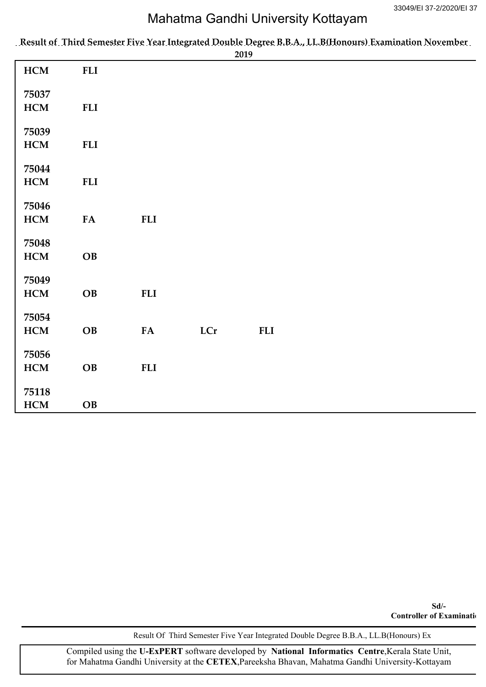|           |            |            | 2019 |            |  |  |
|-----------|------------|------------|------|------------|--|--|
| $\rm HCM$ | <b>FLI</b> |            |      |            |  |  |
| 75037     |            |            |      |            |  |  |
| $\rm HCM$ | <b>FLI</b> |            |      |            |  |  |
| 75039     |            |            |      |            |  |  |
| $HCM$     | <b>FLI</b> |            |      |            |  |  |
| 75044     |            |            |      |            |  |  |
| $HCM$     | <b>FLI</b> |            |      |            |  |  |
| 75046     |            |            |      |            |  |  |
| $\rm HCM$ | ${\bf FA}$ | <b>FLI</b> |      |            |  |  |
| 75048     |            |            |      |            |  |  |
| $\rm HCM$ | OB         |            |      |            |  |  |
| 75049     |            |            |      |            |  |  |
| $\rm HCM$ | OB         | <b>FLI</b> |      |            |  |  |
| 75054     |            |            |      |            |  |  |
| $\rm HCM$ | OB         | ${\bf FA}$ | LCr  | <b>FLI</b> |  |  |
|           |            |            |      |            |  |  |
| 75056     |            |            |      |            |  |  |
| $\rm HCM$ | OB         | <b>FLI</b> |      |            |  |  |
| 75118     |            |            |      |            |  |  |
| $\rm HCM$ | <b>OB</b>  |            |      |            |  |  |

### **Result of Third Semester Five Year Integrated Double Degree B.B.A., LL.B(Honours) Examination November**

**Sd/- Controller of Examinations** 

Result Of Third Semester Five Year Integrated Double Degree B.B.A., LL.B(Honours) Ex 10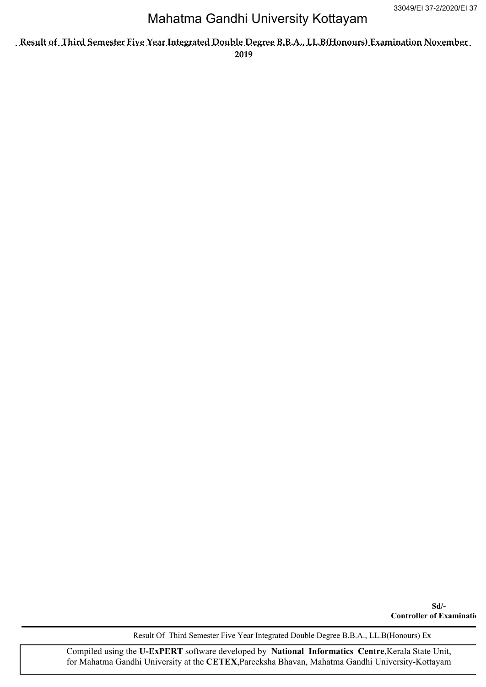**Result of Third Semester Five Year Integrated Double Degree B.B.A., LL.B(Honours) Examination November 2019**

> **Sd/- Controller of Examinations**

Result Of Third Semester Five Year Integrated Double Degree B.B.A., LL.B(Honours) Ex 11